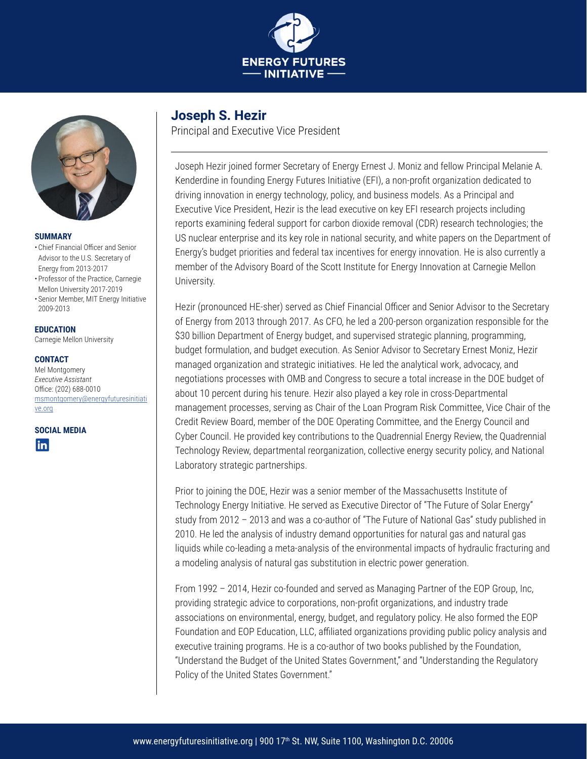



#### **SUMMARY**

- Chief Financial Officer and Senior Advisor to the U.S. Secretary of Energy from 2013-2017
- Professor of the Practice, Carnegie Mellon University 2017-2019 • Senior Member, MIT Energy Initiative
- 2009-2013

#### **EDUCATION**

Carnegie Mellon University

#### **CONTACT**

Mel Montgomery *Executive Assistant* Office: (202) 688-0010 [msmontgomery@energyfuturesinitiati](mailto:mcdrickey@energyfuturesinitiative.org) [ve.org](mailto:mcdrickey@energyfuturesinitiative.org)

**SOCIAL MEDIA**



## **Joseph S. Hezir**

Principal and Executive Vice President

Joseph Hezir joined former Secretary of Energy Ernest J. Moniz and fellow Principal Melanie A. Kenderdine in founding Energy Futures Initiative (EFI), a non-profit organization dedicated to driving innovation in energy technology, policy, and business models. As a Principal and Executive Vice President, Hezir is the lead executive on key EFI research projects including reports examining federal support for carbon dioxide removal (CDR) research technologies; the US nuclear enterprise and its key role in national security, and white papers on the Department of Energy's budget priorities and federal tax incentives for energy innovation. He is also currently a member of the Advisory Board of the Scott Institute for Energy Innovation at Carnegie Mellon University.

Hezir (pronounced HE-sher) served as Chief Financial Officer and Senior Advisor to the Secretary of Energy from 2013 through 2017. As CFO, he led a 200-person organization responsible for the \$30 billion Department of Energy budget, and supervised strategic planning, programming, budget formulation, and budget execution. As Senior Advisor to Secretary Ernest Moniz, Hezir managed organization and strategic initiatives. He led the analytical work, advocacy, and negotiations processes with OMB and Congress to secure a total increase in the DOE budget of about 10 percent during his tenure. Hezir also played a key role in cross-Departmental management processes, serving as Chair of the Loan Program Risk Committee, Vice Chair of the Credit Review Board, member of the DOE Operating Committee, and the Energy Council and Cyber Council. He provided key contributions to the Quadrennial Energy Review, the Quadrennial Technology Review, departmental reorganization, collective energy security policy, and National Laboratory strategic partnerships.

Prior to joining the DOE, Hezir was a senior member of the Massachusetts Institute of Technology Energy Initiative. He served as Executive Director of "The Future of Solar Energy" study from 2012 – 2013 and was a co-author of "The Future of National Gas" study published in 2010. He led the analysis of industry demand opportunities for natural gas and natural gas liquids while co-leading a meta-analysis of the environmental impacts of hydraulic fracturing and a modeling analysis of natural gas substitution in electric power generation.

From 1992 – 2014, Hezir co-founded and served as Managing Partner of the EOP Group, Inc, providing strategic advice to corporations, non-profit organizations, and industry trade associations on environmental, energy, budget, and regulatory policy. He also formed the EOP Foundation and EOP Education, LLC, affiliated organizations providing public policy analysis and executive training programs. He is a co-author of two books published by the Foundation, "Understand the Budget of the United States Government," and "Understanding the Regulatory Policy of the United States Government."